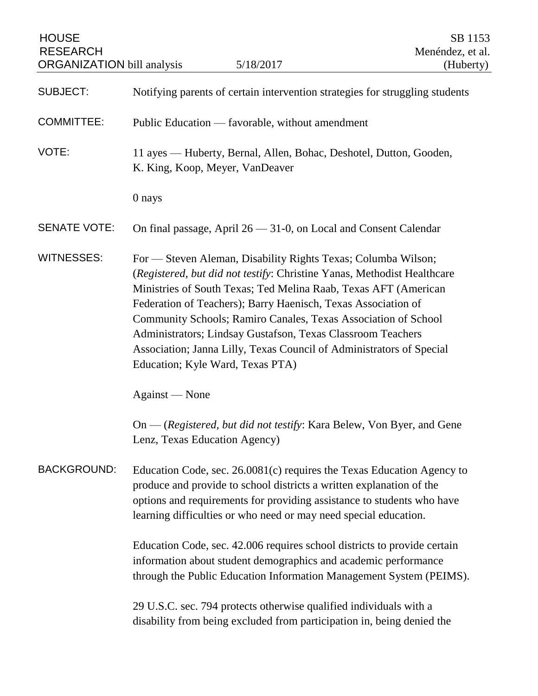| <b>HOUSE</b><br><b>RESEARCH</b><br><b>ORGANIZATION</b> bill analysis | 5/18/2017                                                                                                                                                                                                                                                                                                                                                                                                                                                                                                                 | SB 1153<br>Menéndez, et al.<br>(Huberty) |
|----------------------------------------------------------------------|---------------------------------------------------------------------------------------------------------------------------------------------------------------------------------------------------------------------------------------------------------------------------------------------------------------------------------------------------------------------------------------------------------------------------------------------------------------------------------------------------------------------------|------------------------------------------|
| <b>SUBJECT:</b>                                                      | Notifying parents of certain intervention strategies for struggling students                                                                                                                                                                                                                                                                                                                                                                                                                                              |                                          |
| <b>COMMITTEE:</b>                                                    | Public Education — favorable, without amendment                                                                                                                                                                                                                                                                                                                                                                                                                                                                           |                                          |
| VOTE:                                                                | 11 ayes — Huberty, Bernal, Allen, Bohac, Deshotel, Dutton, Gooden,<br>K. King, Koop, Meyer, VanDeaver                                                                                                                                                                                                                                                                                                                                                                                                                     |                                          |
|                                                                      | 0 nays                                                                                                                                                                                                                                                                                                                                                                                                                                                                                                                    |                                          |
| <b>SENATE VOTE:</b>                                                  | On final passage, April 26 - 31-0, on Local and Consent Calendar                                                                                                                                                                                                                                                                                                                                                                                                                                                          |                                          |
| <b>WITNESSES:</b>                                                    | For — Steven Aleman, Disability Rights Texas; Columba Wilson;<br>(Registered, but did not testify: Christine Yanas, Methodist Healthcare<br>Ministries of South Texas; Ted Melina Raab, Texas AFT (American<br>Federation of Teachers); Barry Haenisch, Texas Association of<br>Community Schools; Ramiro Canales, Texas Association of School<br>Administrators; Lindsay Gustafson, Texas Classroom Teachers<br>Association; Janna Lilly, Texas Council of Administrators of Special<br>Education; Kyle Ward, Texas PTA) |                                          |
|                                                                      | Against — None                                                                                                                                                                                                                                                                                                                                                                                                                                                                                                            |                                          |
|                                                                      | On — (Registered, but did not testify: Kara Belew, Von Byer, and Gene<br>Lenz, Texas Education Agency)                                                                                                                                                                                                                                                                                                                                                                                                                    |                                          |
| <b>BACKGROUND:</b>                                                   | Education Code, sec. 26.0081(c) requires the Texas Education Agency to<br>produce and provide to school districts a written explanation of the<br>options and requirements for providing assistance to students who have<br>learning difficulties or who need or may need special education.                                                                                                                                                                                                                              |                                          |
|                                                                      | Education Code, sec. 42.006 requires school districts to provide certain<br>information about student demographics and academic performance<br>through the Public Education Information Management System (PEIMS).                                                                                                                                                                                                                                                                                                        |                                          |
|                                                                      | 29 U.S.C. sec. 794 protects otherwise qualified individuals with a<br>disability from being excluded from participation in, being denied the                                                                                                                                                                                                                                                                                                                                                                              |                                          |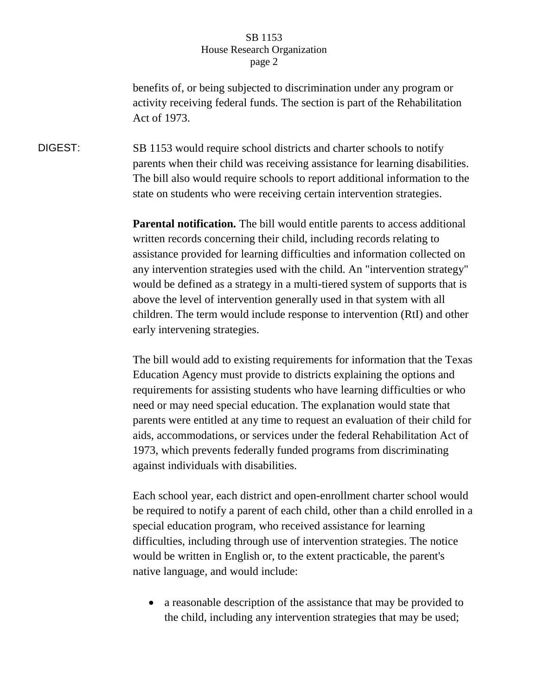benefits of, or being subjected to discrimination under any program or activity receiving federal funds. The section is part of the Rehabilitation Act of 1973.

DIGEST: SB 1153 would require school districts and charter schools to notify parents when their child was receiving assistance for learning disabilities. The bill also would require schools to report additional information to the state on students who were receiving certain intervention strategies.

> **Parental notification.** The bill would entitle parents to access additional written records concerning their child, including records relating to assistance provided for learning difficulties and information collected on any intervention strategies used with the child. An "intervention strategy" would be defined as a strategy in a multi-tiered system of supports that is above the level of intervention generally used in that system with all children. The term would include response to intervention (RtI) and other early intervening strategies.

> The bill would add to existing requirements for information that the Texas Education Agency must provide to districts explaining the options and requirements for assisting students who have learning difficulties or who need or may need special education. The explanation would state that parents were entitled at any time to request an evaluation of their child for aids, accommodations, or services under the federal Rehabilitation Act of 1973, which prevents federally funded programs from discriminating against individuals with disabilities.

> Each school year, each district and open-enrollment charter school would be required to notify a parent of each child, other than a child enrolled in a special education program, who received assistance for learning difficulties, including through use of intervention strategies. The notice would be written in English or, to the extent practicable, the parent's native language, and would include:

 a reasonable description of the assistance that may be provided to the child, including any intervention strategies that may be used;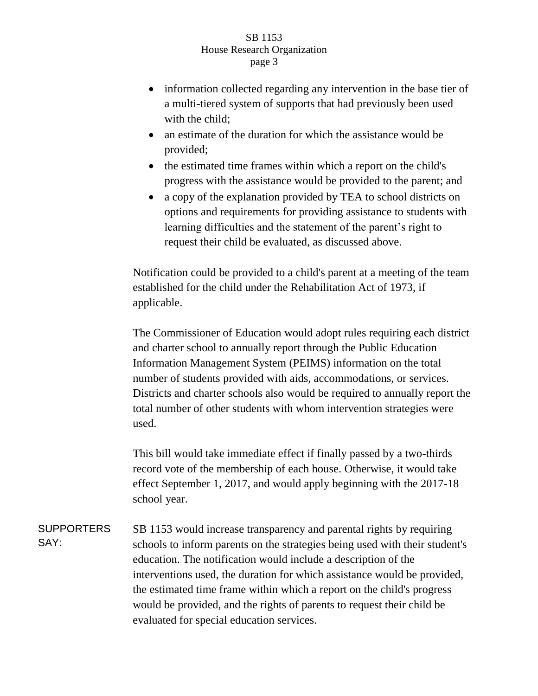- information collected regarding any intervention in the base tier of a multi-tiered system of supports that had previously been used with the child:
- an estimate of the duration for which the assistance would be provided;
- the estimated time frames within which a report on the child's progress with the assistance would be provided to the parent; and
- a copy of the explanation provided by TEA to school districts on options and requirements for providing assistance to students with learning difficulties and the statement of the parent's right to request their child be evaluated, as discussed above.

Notification could be provided to a child's parent at a meeting of the team established for the child under the Rehabilitation Act of 1973, if applicable.

The Commissioner of Education would adopt rules requiring each district and charter school to annually report through the Public Education Information Management System (PEIMS) information on the total number of students provided with aids, accommodations, or services. Districts and charter schools also would be required to annually report the total number of other students with whom intervention strategies were used.

This bill would take immediate effect if finally passed by a two-thirds record vote of the membership of each house. Otherwise, it would take effect September 1, 2017, and would apply beginning with the 2017-18 school year.

SUPPORTERS SAY: SB 1153 would increase transparency and parental rights by requiring schools to inform parents on the strategies being used with their student's education. The notification would include a description of the interventions used, the duration for which assistance would be provided, the estimated time frame within which a report on the child's progress would be provided, and the rights of parents to request their child be evaluated for special education services.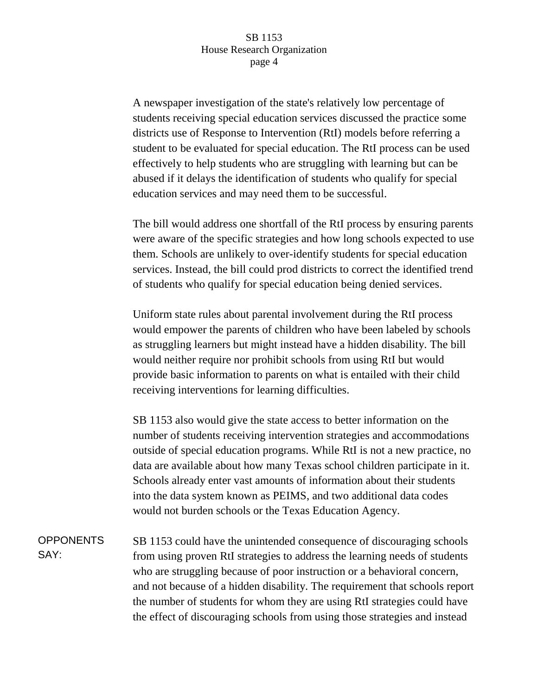A newspaper investigation of the state's relatively low percentage of students receiving special education services discussed the practice some districts use of Response to Intervention (RtI) models before referring a student to be evaluated for special education. The RtI process can be used effectively to help students who are struggling with learning but can be abused if it delays the identification of students who qualify for special education services and may need them to be successful.

The bill would address one shortfall of the RtI process by ensuring parents were aware of the specific strategies and how long schools expected to use them. Schools are unlikely to over-identify students for special education services. Instead, the bill could prod districts to correct the identified trend of students who qualify for special education being denied services.

Uniform state rules about parental involvement during the RtI process would empower the parents of children who have been labeled by schools as struggling learners but might instead have a hidden disability. The bill would neither require nor prohibit schools from using RtI but would provide basic information to parents on what is entailed with their child receiving interventions for learning difficulties.

SB 1153 also would give the state access to better information on the number of students receiving intervention strategies and accommodations outside of special education programs. While RtI is not a new practice, no data are available about how many Texas school children participate in it. Schools already enter vast amounts of information about their students into the data system known as PEIMS, and two additional data codes would not burden schools or the Texas Education Agency.

OPPONENTS SAY: SB 1153 could have the unintended consequence of discouraging schools from using proven RtI strategies to address the learning needs of students who are struggling because of poor instruction or a behavioral concern, and not because of a hidden disability. The requirement that schools report the number of students for whom they are using RtI strategies could have the effect of discouraging schools from using those strategies and instead